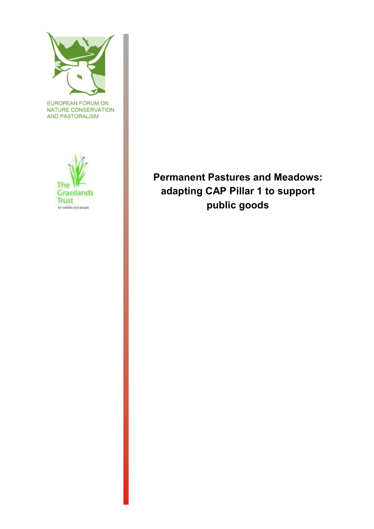

EUROPEAN FORUM ON NATURE CONSERVATION AND PASTORALISM



**Permanent Pastures and Meadows: adapting CAP Pillar 1 to support <u>Trust</u> public goods**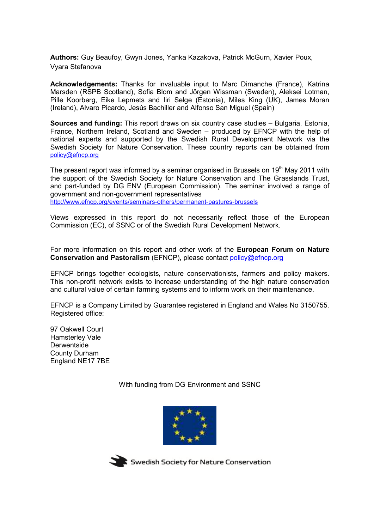**Authors:** Guy Beaufoy, Gwyn Jones, Yanka Kazakova, Patrick McGurn, Xavier Poux, Vyara Stefanova

**Acknowledgements:** Thanks for invaluable input to Marc Dimanche (France), Katrina Marsden (RSPB Scotland), Sofia Blom and Jörgen Wissman (Sweden), Aleksei Lotman, Pille Koorberg, Eike Lepmets and Iiri Selge (Estonia), Miles King (UK), James Moran (Ireland), Alvaro Picardo, Jesús Bachiller and Alfonso San Miguel (Spain)

**Sources and funding:** This report draws on six country case studies – Bulgaria, Estonia, France, Northern Ireland, Scotland and Sweden – produced by EFNCP with the help of national experts and supported by the Swedish Rural Development Network via the Swedish Society for Nature Conservation. These country reports can be obtained from policy@efncp.org

The present report was informed by a seminar organised in Brussels on 19<sup>th</sup> May 2011 with the support of the Swedish Society for Nature Conservation and The Grasslands Trust, and part-funded by DG ENV (European Commission). The seminar involved a range of government and non-government representatives http://www.efncp.org/events/seminars-others/permanent-pastures-brussels

Views expressed in this report do not necessarily reflect those of the European Commission (EC), of SSNC or of the Swedish Rural Development Network.

For more information on this report and other work of the **European Forum on Nature Conservation and Pastoralism** (EFNCP), please contact policy@efncp.org

EFNCP brings together ecologists, nature conservationists, farmers and policy makers. This non-profit network exists to increase understanding of the high nature conservation and cultural value of certain farming systems and to inform work on their maintenance.

EFNCP is a Company Limited by Guarantee registered in England and Wales No 3150755. Registered office:

97 Oakwell Court Hamsterley Vale **Derwentside** County Durham England NE17 7BE

With funding from DG Environment and SSNC





Swedish Society for Nature Conservation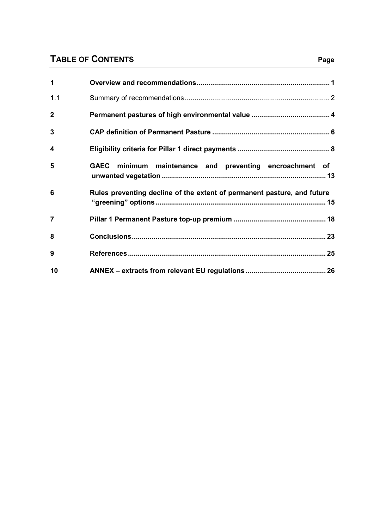# **TABLE OF CONTENTS**

| 1              |                                                                         |
|----------------|-------------------------------------------------------------------------|
| 1.1            |                                                                         |
| $\overline{2}$ |                                                                         |
| 3              |                                                                         |
| 4              |                                                                         |
| 5              | GAEC minimum maintenance and preventing encroachment of                 |
| 6              | Rules preventing decline of the extent of permanent pasture, and future |
| $\overline{7}$ |                                                                         |
| 8              |                                                                         |
| 9              |                                                                         |
| 10             |                                                                         |

# **Page**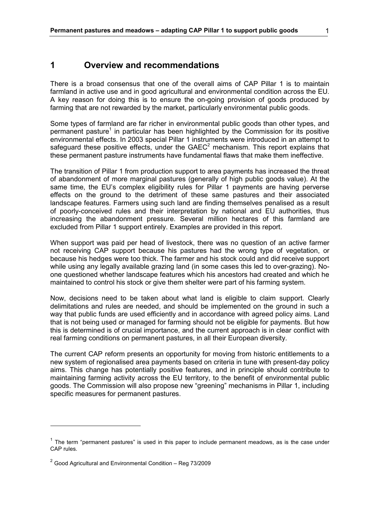# **1 Overview and recommendations**

There is a broad consensus that one of the overall aims of CAP Pillar 1 is to maintain farmland in active use and in good agricultural and environmental condition across the EU. A key reason for doing this is to ensure the on-going provision of goods produced by farming that are not rewarded by the market, particularly environmental public goods.

Some types of farmland are far richer in environmental public goods than other types, and permanent pasture<sup>1</sup> in particular has been highlighted by the Commission for its positive environmental effects. In 2003 special Pillar 1 instruments were introduced in an attempt to safeguard these positive effects, under the  $GAEC<sup>2</sup>$  mechanism. This report explains that these permanent pasture instruments have fundamental flaws that make them ineffective.

The transition of Pillar 1 from production support to area payments has increased the threat of abandonment of more marginal pastures (generally of high public goods value). At the same time, the EU's complex eligibility rules for Pillar 1 payments are having perverse effects on the ground to the detriment of these same pastures and their associated landscape features. Farmers using such land are finding themselves penalised as a result of poorly-conceived rules and their interpretation by national and EU authorities, thus increasing the abandonment pressure. Several million hectares of this farmland are excluded from Pillar 1 support entirely. Examples are provided in this report.

When support was paid per head of livestock, there was no question of an active farmer not receiving CAP support because his pastures had the wrong type of vegetation, or because his hedges were too thick. The farmer and his stock could and did receive support while using any legally available grazing land (in some cases this led to over-grazing). Noone questioned whether landscape features which his ancestors had created and which he maintained to control his stock or give them shelter were part of his farming system.

Now, decisions need to be taken about what land is eligible to claim support. Clearly delimitations and rules are needed, and should be implemented on the ground in such a way that public funds are used efficiently and in accordance with agreed policy aims. Land that is not being used or managed for farming should not be eligible for payments. But how this is determined is of crucial importance, and the current approach is in clear conflict with real farming conditions on permanent pastures, in all their European diversity.

The current CAP reform presents an opportunity for moving from historic entitlements to a new system of regionalised area payments based on criteria in tune with present-day policy aims. This change has potentially positive features, and in principle should contribute to maintaining farming activity across the EU territory, to the benefit of environmental public goods. The Commission will also propose new "greening" mechanisms in Pillar 1, including specific measures for permanent pastures.

 $\overline{a}$ 

 $<sup>1</sup>$  The term "permanent pastures" is used in this paper to include permanent meadows, as is the case under</sup> CAP rules.

 $2$  Good Agricultural and Environmental Condition – Reg 73/2009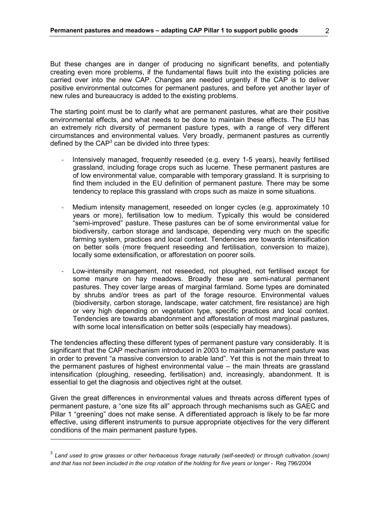But these changes are in danger of producing no significant benefits, and potentially creating even more problems, if the fundamental flaws built into the existing policies are carried over into the new CAP. Changes are needed urgently if the CAP is to deliver positive environmental outcomes for permanent pastures, and before yet another layer of new rules and bureaucracy is added to the existing problems.

The starting point must be to clarify what are permanent pastures, what are their positive environmental effects, and what needs to be done to maintain these effects. The EU has an extremely rich diversity of permanent pasture types, with a range of very different circumstances and environmental values. Very broadly, permanent pastures as currently defined by the CAP $3$  can be divided into three types:

- Intensively managed, frequently reseeded (e.g. every 1-5 years), heavily fertilised grassland, including forage crops such as lucerne. These permanent pastures are of low environmental value, comparable with temporary grassland. It is surprising to find them included in the EU definition of permanent pasture. There may be some tendency to replace this grassland with crops such as maize in some situations.
- Medium intensity management, reseeded on longer cycles (e.g. approximately 10 years or more), fertilisation low to medium. Typically this would be considered "semi-improved" pasture. These pastures can be of some environmental value for biodiversity, carbon storage and landscape, depending very much on the specific farming system, practices and local context. Tendencies are towards intensification on better soils (more frequent reseeding and fertilisation, conversion to maize), locally some extensification, or afforestation on poorer soils.
- Low-intensity management, not reseeded, not ploughed, not fertilised except for some manure on hay meadows. Broadly these are semi-natural permanent pastures. They cover large areas of marginal farmland. Some types are dominated by shrubs and/or trees as part of the forage resource. Environmental values (biodiversity, carbon storage, landscape, water catchment, fire resistance) are high or very high depending on vegetation type, specific practices and local context. Tendencies are towards abandonment and afforestation of most marginal pastures, with some local intensification on better soils (especially hay meadows).

The tendencies affecting these different types of permanent pasture vary considerably. It is significant that the CAP mechanism introduced in 2003 to maintain permanent pasture was in order to prevent "a massive conversion to arable land". Yet this is not the main threat to the permanent pastures of highest environmental value – the main threats are grassland intensification (ploughing, reseeding, fertilisation) and, increasingly, abandonment. It is essential to get the diagnosis and objectives right at the outset.

Given the great differences in environmental values and threats across different types of permanent pasture, a "one size fits all" approach through mechanisms such as GAEC and Pillar 1 "greening" does not make sense. A differentiated approach is likely to be far more effective, using different instruments to pursue appropriate objectives for the very different conditions of the main permanent pasture types.

 $\overline{a}$ 

<sup>3</sup> *Land used to grow grasses or other herbaceous forage naturally (self-seeded) or through cultivation (sown) and that has not been included in the crop rotation of the holding for five years or longer* - Reg 796/2004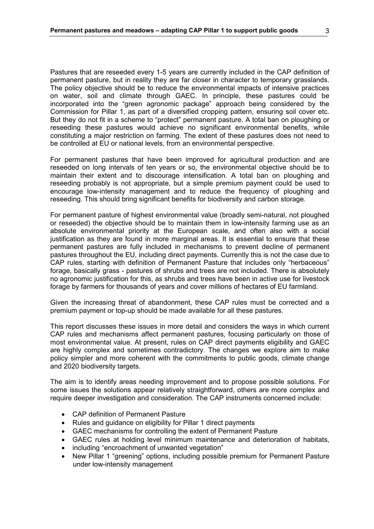Pastures that are reseeded every 1-5 years are currently included in the CAP definition of permanent pasture, but in reality they are far closer in character to temporary grasslands. The policy objective should be to reduce the environmental impacts of intensive practices on water, soil and climate through GAEC. In principle, these pastures could be incorporated into the "green agronomic package" approach being considered by the Commission for Pillar 1, as part of a diversified cropping pattern, ensuring soil cover etc. But they do not fit in a scheme to "protect" permanent pasture. A total ban on ploughing or reseeding these pastures would achieve no significant environmental benefits, while constituting a major restriction on farming. The extent of these pastures does not need to be controlled at EU or national levels, from an environmental perspective.

For permanent pastures that have been improved for agricultural production and are reseeded on long intervals of ten years or so, the environmental objective should be to maintain their extent and to discourage intensification. A total ban on ploughing and reseeding probably is not appropriate, but a simple premium payment could be used to encourage low-intensity management and to reduce the frequency of ploughing and reseeding. This should bring significant benefits for biodiversity and carbon storage.

For permanent pasture of highest environmental value (broadly semi-natural, not ploughed or reseeded) the objective should be to maintain them in low-intensity farming use as an absolute environmental priority at the European scale, and often also with a social justification as they are found in more marginal areas. It is essential to ensure that these permanent pastures are fully included in mechanisms to prevent decline of permanent pastures throughout the EU, including direct payments. Currently this is not the case due to CAP rules, starting with definition of Permanent Pasture that includes only "herbaceous" forage, basically grass - pastures of shrubs and trees are not included. There is absolutely no agronomic justification for this, as shrubs and trees have been in active use for livestock forage by farmers for thousands of years and cover millions of hectares of EU farmland.

Given the increasing threat of abandonment, these CAP rules must be corrected and a premium payment or top-up should be made available for all these pastures.

This report discusses these issues in more detail and considers the ways in which current CAP rules and mechanisms affect permanent pastures, focusing particularly on those of most environmental value. At present, rules on CAP direct payments eligibility and GAEC are highly complex and sometimes contradictory. The changes we explore aim to make policy simpler and more coherent with the commitments to public goods, climate change and 2020 biodiversity targets.

The aim is to identify areas needing improvement and to propose possible solutions. For some issues the solutions appear relatively straightforward, others are more complex and require deeper investigation and consideration. The CAP instruments concerned include:

- CAP definition of Permanent Pasture
- Rules and guidance on eligibility for Pillar 1 direct payments
- GAEC mechanisms for controlling the extent of Permanent Pasture
- GAEC rules at holding level minimum maintenance and deterioration of habitats,
- including "encroachment of unwanted vegetation"
- New Pillar 1 "greening" options, including possible premium for Permanent Pasture under low-intensity management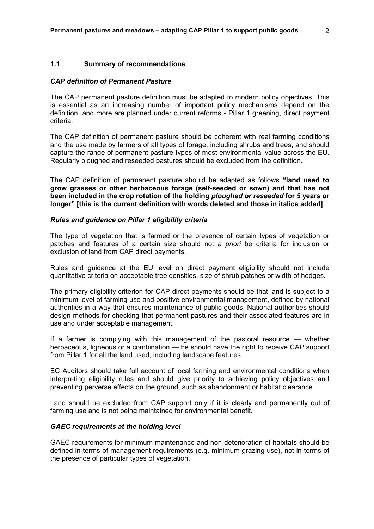#### **1.1 Summary of recommendations**

#### *CAP definition of Permanent Pasture*

The CAP permanent pasture definition must be adapted to modern policy objectives. This is essential as an increasing number of important policy mechanisms depend on the definition, and more are planned under current reforms - Pillar 1 greening, direct payment criteria.

The CAP definition of permanent pasture should be coherent with real farming conditions and the use made by farmers of all types of forage, including shrubs and trees, and should capture the range of permanent pasture types of most environmental value across the EU. Regularly ploughed and reseeded pastures should be excluded from the definition.

The CAP definition of permanent pasture should be adapted as follows **"land used to grow grasses or other herbaceous forage (self-seeded or sown) and that has not been included in the crop rotation of the holding** *ploughed or reseeded* **for 5 years or longer" [this is the current definition with words deleted and those in italics added]** 

#### *Rules and guidance on Pillar 1 eligibility criteria*

The type of vegetation that is farmed or the presence of certain types of vegetation or patches and features of a certain size should not *a priori* be criteria for inclusion or exclusion of land from CAP direct payments.

Rules and guidance at the EU level on direct payment eligibility should not include quantitative criteria on acceptable tree densities, size of shrub patches or width of hedges.

The primary eligibility criterion for CAP direct payments should be that land is subject to a minimum level of farming use and positive environmental management, defined by national authorities in a way that ensures maintenance of public goods. National authorities should design methods for checking that permanent pastures and their associated features are in use and under acceptable management.

If a farmer is complying with this management of the pastoral resource — whether herbaceous, ligneous or a combination — he should have the right to receive CAP support from Pillar 1 for all the land used, including landscape features.

EC Auditors should take full account of local farming and environmental conditions when interpreting eligibility rules and should give priority to achieving policy objectives and preventing perverse effects on the ground, such as abandonment or habitat clearance.

Land should be excluded from CAP support only if it is clearly and permanently out of farming use and is not being maintained for environmental benefit.

#### *GAEC requirements at the holding level*

GAEC requirements for minimum maintenance and non-deterioration of habitats should be defined in terms of management requirements (e.g. minimum grazing use), not in terms of the presence of particular types of vegetation.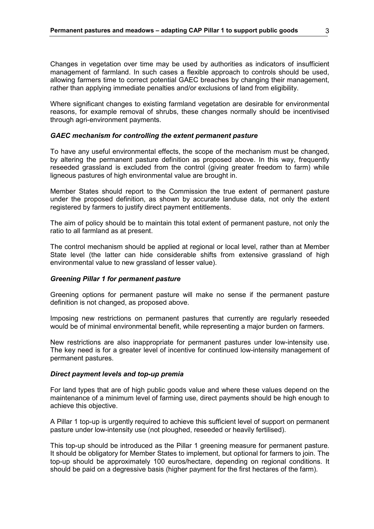Changes in vegetation over time may be used by authorities as indicators of insufficient management of farmland. In such cases a flexible approach to controls should be used, allowing farmers time to correct potential GAEC breaches by changing their management, rather than applying immediate penalties and/or exclusions of land from eligibility.

Where significant changes to existing farmland vegetation are desirable for environmental reasons, for example removal of shrubs, these changes normally should be incentivised through agri-environment payments.

#### *GAEC mechanism for controlling the extent permanent pasture*

To have any useful environmental effects, the scope of the mechanism must be changed, by altering the permanent pasture definition as proposed above. In this way, frequently reseeded grassland is excluded from the control (giving greater freedom to farm) while ligneous pastures of high environmental value are brought in.

Member States should report to the Commission the true extent of permanent pasture under the proposed definition, as shown by accurate landuse data, not only the extent registered by farmers to justify direct payment entitlements.

The aim of policy should be to maintain this total extent of permanent pasture, not only the ratio to all farmland as at present.

The control mechanism should be applied at regional or local level, rather than at Member State level (the latter can hide considerable shifts from extensive grassland of high environmental value to new grassland of lesser value).

#### *Greening Pillar 1 for permanent pasture*

Greening options for permanent pasture will make no sense if the permanent pasture definition is not changed, as proposed above.

Imposing new restrictions on permanent pastures that currently are regularly reseeded would be of minimal environmental benefit, while representing a major burden on farmers.

New restrictions are also inappropriate for permanent pastures under low-intensity use. The key need is for a greater level of incentive for continued low-intensity management of permanent pastures.

#### *Direct payment levels and top-up premia*

For land types that are of high public goods value and where these values depend on the maintenance of a minimum level of farming use, direct payments should be high enough to achieve this objective.

A Pillar 1 top-up is urgently required to achieve this sufficient level of support on permanent pasture under low-intensity use (not ploughed, reseeded or heavily fertilised).

This top-up should be introduced as the Pillar 1 greening measure for permanent pasture. It should be obligatory for Member States to implement, but optional for farmers to join. The top-up should be approximately 100 euros/hectare, depending on regional conditions. It should be paid on a degressive basis (higher payment for the first hectares of the farm).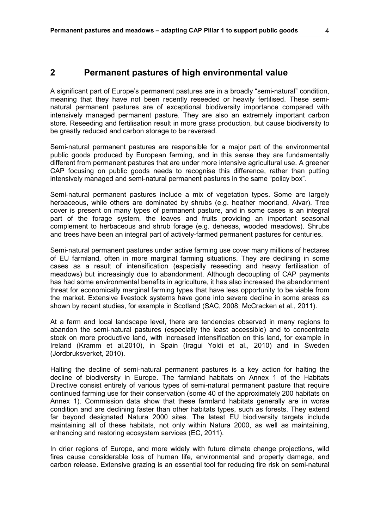## **2 Permanent pastures of high environmental value**

A significant part of Europe's permanent pastures are in a broadly "semi-natural" condition, meaning that they have not been recently reseeded or heavily fertilised. These seminatural permanent pastures are of exceptional biodiversity importance compared with intensively managed permanent pasture. They are also an extremely important carbon store. Reseeding and fertilisation result in more grass production, but cause biodiversity to be greatly reduced and carbon storage to be reversed.

Semi-natural permanent pastures are responsible for a major part of the environmental public goods produced by European farming, and in this sense they are fundamentally different from permanent pastures that are under more intensive agricultural use. A greener CAP focusing on public goods needs to recognise this difference, rather than putting intensively managed and semi-natural permanent pastures in the same "policy box".

Semi-natural permanent pastures include a mix of vegetation types. Some are largely herbaceous, while others are dominated by shrubs (e.g. heather moorland, Alvar). Tree cover is present on many types of permanent pasture, and in some cases is an integral part of the forage system, the leaves and fruits providing an important seasonal complement to herbaceous and shrub forage (e.g. dehesas, wooded meadows). Shrubs and trees have been an integral part of actively-farmed permanent pastures for centuries.

Semi-natural permanent pastures under active farming use cover many millions of hectares of EU farmland, often in more marginal farming situations. They are declining in some cases as a result of intensification (especially reseeding and heavy fertilisation of meadows) but increasingly due to abandonment. Although decoupling of CAP payments has had some environmental benefits in agriculture, it has also increased the abandonment threat for economically marginal farming types that have less opportunity to be viable from the market. Extensive livestock systems have gone into severe decline in some areas as shown by recent studies, for example in Scotland (SAC, 2008; McCracken et al., 2011).

At a farm and local landscape level, there are tendencies observed in many regions to abandon the semi-natural pastures (especially the least accessible) and to concentrate stock on more productive land, with increased intensification on this land, for example in Ireland (Kramm et al.2010), in Spain (Iragui Yoldi et al., 2010) and in Sweden (Jordbruksverket, 2010).

Halting the decline of semi-natural permanent pastures is a key action for halting the decline of biodiversity in Europe. The farmland habitats on Annex 1 of the Habitats Directive consist entirely of various types of semi-natural permanent pasture that require continued farming use for their conservation (some 40 of the approximately 200 habitats on Annex 1). Commission data show that these farmland habitats generally are in worse condition and are declining faster than other habitats types, such as forests. They extend far beyond designated Natura 2000 sites. The latest EU biodiversity targets include maintaining all of these habitats, not only within Natura 2000, as well as maintaining, enhancing and restoring ecosystem services (EC, 2011).

In drier regions of Europe, and more widely with future climate change projections, wild fires cause considerable loss of human life, environmental and property damage, and carbon release. Extensive grazing is an essential tool for reducing fire risk on semi-natural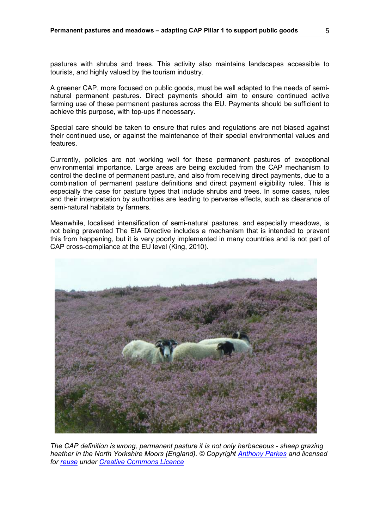pastures with shrubs and trees. This activity also maintains landscapes accessible to tourists, and highly valued by the tourism industry.

A greener CAP, more focused on public goods, must be well adapted to the needs of seminatural permanent pastures. Direct payments should aim to ensure continued active farming use of these permanent pastures across the EU. Payments should be sufficient to achieve this purpose, with top-ups if necessary.

Special care should be taken to ensure that rules and regulations are not biased against their continued use, or against the maintenance of their special environmental values and features.

Currently, policies are not working well for these permanent pastures of exceptional environmental importance. Large areas are being excluded from the CAP mechanism to control the decline of permanent pasture, and also from receiving direct payments, due to a combination of permanent pasture definitions and direct payment eligibility rules. This is especially the case for pasture types that include shrubs and trees. In some cases, rules and their interpretation by authorities are leading to perverse effects, such as clearance of semi-natural habitats by farmers.

Meanwhile, localised intensification of semi-natural pastures, and especially meadows, is not being prevented The EIA Directive includes a mechanism that is intended to prevent this from happening, but it is very poorly implemented in many countries and is not part of CAP cross-compliance at the EU level (King, 2010).



*The CAP definition is wrong, permanent pasture it is not only herbaceous - sheep grazing heather in the North Yorkshire Moors (England). © Copyright Anthony Parkes and licensed for reuse under Creative Commons Licence*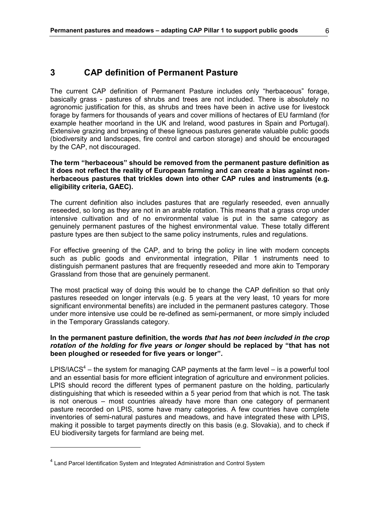# **3 CAP definition of Permanent Pasture**

The current CAP definition of Permanent Pasture includes only "herbaceous" forage, basically grass - pastures of shrubs and trees are not included. There is absolutely no agronomic justification for this, as shrubs and trees have been in active use for livestock forage by farmers for thousands of years and cover millions of hectares of EU farmland (for example heather moorland in the UK and Ireland, wood pastures in Spain and Portugal). Extensive grazing and browsing of these ligneous pastures generate valuable public goods (biodiversity and landscapes, fire control and carbon storage) and should be encouraged by the CAP, not discouraged.

**The term "herbaceous" should be removed from the permanent pasture definition as it does not reflect the reality of European farming and can create a bias against nonherbaceous pastures that trickles down into other CAP rules and instruments (e.g. eligibility criteria, GAEC).** 

The current definition also includes pastures that are regularly reseeded, even annually reseeded, so long as they are not in an arable rotation. This means that a grass crop under intensive cultivation and of no environmental value is put in the same category as genuinely permanent pastures of the highest environmental value. These totally different pasture types are then subject to the same policy instruments, rules and regulations.

For effective greening of the CAP, and to bring the policy in line with modern concepts such as public goods and environmental integration, Pillar 1 instruments need to distinguish permanent pastures that are frequently reseeded and more akin to Temporary Grassland from those that are genuinely permanent.

The most practical way of doing this would be to change the CAP definition so that only pastures reseeded on longer intervals (e.g. 5 years at the very least, 10 years for more significant environmental benefits) are included in the permanent pastures category. Those under more intensive use could be re-defined as semi-permanent, or more simply included in the Temporary Grasslands category.

### **In the permanent pasture definition, the words** *that has not been included in the crop rotation of the holding for five years or longer* **should be replaced by "that has not been ploughed or reseeded for five years or longer".**

LPIS/IACS<sup>4</sup> – the system for managing CAP payments at the farm level – is a powerful tool and an essential basis for more efficient integration of agriculture and environment policies. LPIS should record the different types of permanent pasture on the holding, particularly distinguishing that which is reseeded within a 5 year period from that which is not. The task is not onerous – most countries already have more than one category of permanent pasture recorded on LPIS, some have many categories. A few countries have complete inventories of semi-natural pastures and meadows, and have integrated these with LPIS, making it possible to target payments directly on this basis (e.g. Slovakia), and to check if EU biodiversity targets for farmland are being met.

 $\overline{a}$ 

<sup>&</sup>lt;sup>4</sup> Land Parcel Identification System and Integrated Administration and Control System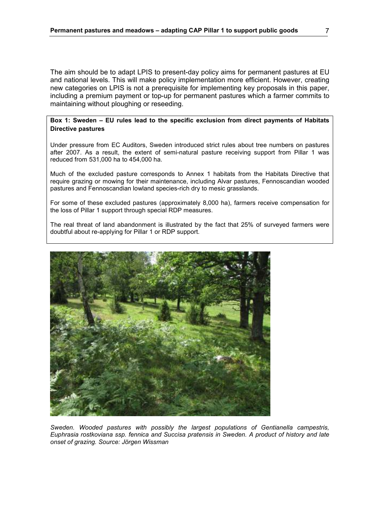The aim should be to adapt LPIS to present-day policy aims for permanent pastures at EU and national levels. This will make policy implementation more efficient. However, creating new categories on LPIS is not a prerequisite for implementing key proposals in this paper, including a premium payment or top-up for permanent pastures which a farmer commits to maintaining without ploughing or reseeding.

### **Box 1: Sweden – EU rules lead to the specific exclusion from direct payments of Habitats Directive pastures**

Under pressure from EC Auditors, Sweden introduced strict rules about tree numbers on pastures after 2007. As a result, the extent of semi-natural pasture receiving support from Pillar 1 was reduced from 531,000 ha to 454,000 ha.

Much of the excluded pasture corresponds to Annex 1 habitats from the Habitats Directive that require grazing or mowing for their maintenance, including Alvar pastures, Fennoscandian wooded pastures and Fennoscandian lowland species-rich dry to mesic grasslands.

For some of these excluded pastures (approximately 8,000 ha), farmers receive compensation for the loss of Pillar 1 support through special RDP measures.

The real threat of land abandonment is illustrated by the fact that 25% of surveyed farmers were doubtful about re-applying for Pillar 1 or RDP support.



*Sweden. Wooded pastures with possibly the largest populations of Gentianella campestris, Euphrasia rostkoviana ssp. fennica and Succisa pratensis in Sweden. A product of history and late onset of grazing. Source: Jörgen Wissman*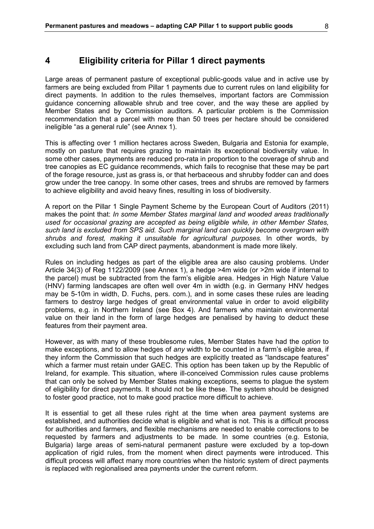## **4 Eligibility criteria for Pillar 1 direct payments**

Large areas of permanent pasture of exceptional public-goods value and in active use by farmers are being excluded from Pillar 1 payments due to current rules on land eligibility for direct payments. In addition to the rules themselves, important factors are Commission guidance concerning allowable shrub and tree cover, and the way these are applied by Member States and by Commission auditors. A particular problem is the Commission recommendation that a parcel with more than 50 trees per hectare should be considered ineligible "as a general rule" (see Annex 1).

This is affecting over 1 million hectares across Sweden, Bulgaria and Estonia for example, mostly on pasture that requires grazing to maintain its exceptional biodiversity value. In some other cases, payments are reduced pro-rata in proportion to the coverage of shrub and tree canopies as EC guidance recommends, which fails to recognise that these may be part of the forage resource, just as grass is, or that herbaceous and shrubby fodder can and does grow under the tree canopy. In some other cases, trees and shrubs are removed by farmers to achieve eligibility and avoid heavy fines, resulting in loss of biodiversity.

A report on the Pillar 1 Single Payment Scheme by the European Court of Auditors (2011) makes the point that: *In some Member States marginal land and wooded areas traditionally used for occasional grazing are accepted as being eligible while, in other Member States, such land is excluded from SPS aid. Such marginal land can quickly become overgrown with shrubs and forest, making it unsuitable for agricultural purposes.* In other words, by excluding such land from CAP direct payments, abandonment is made more likely.

Rules on including hedges as part of the eligible area are also causing problems. Under Article 34(3) of Reg 1122/2009 (see Annex 1), a hedge >4m wide (or >2m wide if internal to the parcel) must be subtracted from the farm's eligible area. Hedges in High Nature Value (HNV) farming landscapes are often well over 4m in width (e.g. in Germany HNV hedges may be 5-10m in width, D. Fuchs, pers. com.), and in some cases these rules are leading farmers to destroy large hedges of great environmental value in order to avoid eligibility problems, e.g. in Northern Ireland (see Box 4). And farmers who maintain environmental value on their land in the form of large hedges are penalised by having to deduct these features from their payment area.

However, as with many of these troublesome rules, Member States have had the *option* to make exceptions, and to allow hedges of *any* width to be counted in a farm's eligible area, if they inform the Commission that such hedges are explicitly treated as "landscape features" which a farmer must retain under GAEC. This option has been taken up by the Republic of Ireland, for example. This situation, where ill-conceived Commission rules cause problems that can only be solved by Member States making exceptions, seems to plague the system of eligibility for direct payments. It should not be like these. The system should be designed to foster good practice, not to make good practice more difficult to achieve.

It is essential to get all these rules right at the time when area payment systems are established, and authorities decide what is eligible and what is not. This is a difficult process for authorities and farmers, and flexible mechanisms are needed to enable corrections to be requested by farmers and adjustments to be made. In some countries (e.g. Estonia, Bulgaria) large areas of semi-natural permanent pasture were excluded by a top-down application of rigid rules, from the moment when direct payments were introduced. This difficult process will affect many more countries when the historic system of direct payments is replaced with regionalised area payments under the current reform.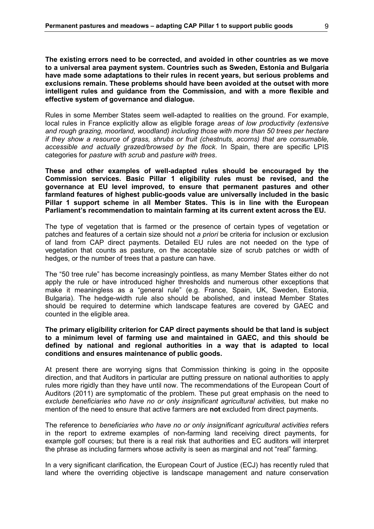**The existing errors need to be corrected, and avoided in other countries as we move to a universal area payment system. Countries such as Sweden, Estonia and Bulgaria have made some adaptations to their rules in recent years, but serious problems and exclusions remain. These problems should have been avoided at the outset with more intelligent rules and guidance from the Commission, and with a more flexible and effective system of governance and dialogue.** 

Rules in some Member States seem well-adapted to realities on the ground. For example, local rules in France explicitly allow as eligible forage *areas of low productivity (extensive and rough grazing, moorland, woodland) including those with more than 50 trees per hectare if they show a resource of grass, shrubs or fruit (chestnuts, acorns) that are consumable, accessible and actually grazed/browsed by the flock*. In Spain, there are specific LPIS categories for *pasture with scrub* and *pasture with trees*.

**These and other examples of well-adapted rules should be encouraged by the Commission services. Basic Pillar 1 eligibility rules must be revised, and the governance at EU level improved, to ensure that permanent pastures and other farmland features of highest public-goods value are universally included in the basic Pillar 1 support scheme in all Member States. This is in line with the European Parliament's recommendation to maintain farming at its current extent across the EU.** 

The type of vegetation that is farmed or the presence of certain types of vegetation or patches and features of a certain size should not *a priori* be criteria for inclusion or exclusion of land from CAP direct payments. Detailed EU rules are not needed on the type of vegetation that counts as pasture, on the acceptable size of scrub patches or width of hedges, or the number of trees that a pasture can have.

The "50 tree rule" has become increasingly pointless, as many Member States either do not apply the rule or have introduced higher thresholds and numerous other exceptions that make it meaningless as a "general rule" (e.g. France, Spain, UK, Sweden, Estonia, Bulgaria). The hedge-width rule also should be abolished, and instead Member States should be required to determine which landscape features are covered by GAEC and counted in the eligible area.

### **The primary eligibility criterion for CAP direct payments should be that land is subject to a minimum level of farming use and maintained in GAEC, and this should be defined by national and regional authorities in a way that is adapted to local conditions and ensures maintenance of public goods.**

At present there are worrying signs that Commission thinking is going in the opposite direction, and that Auditors in particular are putting pressure on national authorities to apply rules more rigidly than they have until now. The recommendations of the European Court of Auditors (2011) are symptomatic of the problem. These put great emphasis on the need to *exclude beneficiaries who have no or only insignificant agricultural activities,* but make no mention of the need to ensure that active farmers are **not** excluded from direct payments.

The reference to *beneficiaries who have no or only insignificant agricultural activities* refers in the report to extreme examples of non-farming land receiving direct payments, for example golf courses; but there is a real risk that authorities and EC auditors will interpret the phrase as including farmers whose activity is seen as marginal and not "real" farming.

In a very significant clarification, the European Court of Justice (ECJ) has recently ruled that land where the overriding objective is landscape management and nature conservation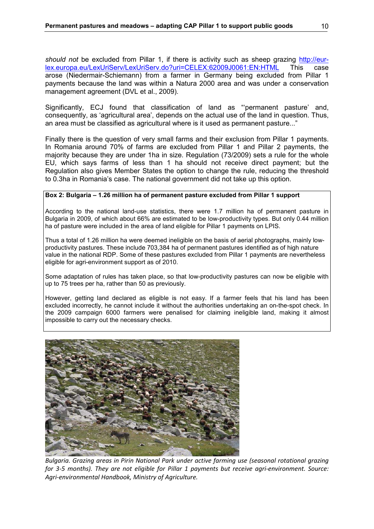*should not* be excluded from Pillar 1, if there is activity such as sheep grazing http://eur-<br>lex.europa.eu/LexUriServ/LexUriServ.do?uri=CELEX:62009J0061:EN:HTML This case lex.europa.eu/LexUriServ/LexUriServ.do?uri=CELEX:62009J0061:EN:HTML This case arose (Niedermair-Schiemann) from a farmer in Germany being excluded from Pillar 1 payments because the land was within a Natura 2000 area and was under a conservation management agreement (DVL et al., 2009).

Significantly, ECJ found that classification of land as "permanent pasture' and, consequently, as 'agricultural area', depends on the actual use of the land in question. Thus, an area must be classified as agricultural where is it used as permanent pasture..."

Finally there is the question of very small farms and their exclusion from Pillar 1 payments. In Romania around 70% of farms are excluded from Pillar 1 and Pillar 2 payments, the majority because they are under 1ha in size. Regulation (73/2009) sets a rule for the whole EU, which says farms of less than 1 ha should not receive direct payment; but the Regulation also gives Member States the option to change the rule, reducing the threshold to 0.3ha in Romania's case. The national government did not take up this option.

#### **Box 2: Bulgaria – 1.26 million ha of permanent pasture excluded from Pillar 1 support**

According to the national land-use statistics, there were 1.7 million ha of permanent pasture in Bulgaria in 2009, of which about 66% are estimated to be low-productivity types. But only 0.44 million ha of pasture were included in the area of land eligible for Pillar 1 payments on LPIS.

Thus a total of 1.26 million ha were deemed ineligible on the basis of aerial photographs, mainly lowproductivity pastures. These include 703,384 ha of permanent pastures identified as of high nature value in the national RDP. Some of these pastures excluded from Pillar 1 payments are nevertheless eligible for agri-environment support as of 2010.

Some adaptation of rules has taken place, so that low-productivity pastures can now be eligible with up to 75 trees per ha, rather than 50 as previously.

However, getting land declared as eligible is not easy. If a farmer feels that his land has been excluded incorrectly, he cannot include it without the authorities undertaking an on-the-spot check. In the 2009 campaign 6000 farmers were penalised for claiming ineligible land, making it almost impossible to carry out the necessary checks.



*Bulgaria. Grazing areas in Pirin National Park under active farming use (seasonal rotational grazing for 3-5 months). They are not eligible for Pillar 1 payments but receive agri-environment. Source: Agri-environmental Handbook, Ministry of Agriculture.*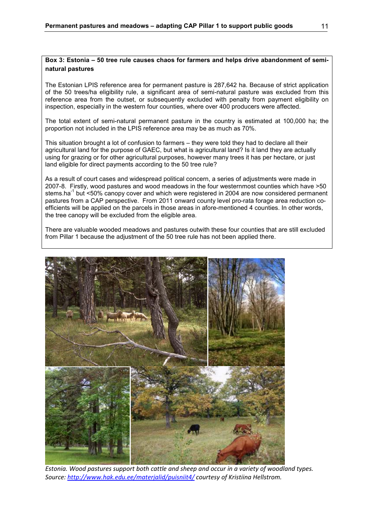#### **Box 3: Estonia – 50 tree rule causes chaos for farmers and helps drive abandonment of seminatural pastures**

The Estonian LPIS reference area for permanent pasture is 287,642 ha. Because of strict application of the 50 trees/ha eligibility rule, a significant area of semi-natural pasture was excluded from this reference area from the outset, or subsequently excluded with penalty from payment eligibility on inspection, especially in the western four counties, where over 400 producers were affected.

The total extent of semi-natural permanent pasture in the country is estimated at 100,000 ha; the proportion not included in the LPIS reference area may be as much as 70%.

This situation brought a lot of confusion to farmers – they were told they had to declare all their agricultural land for the purpose of GAEC, but what is agricultural land? Is it land they are actually using for grazing or for other agricultural purposes, however many trees it has per hectare, or just land eligible for direct payments according to the 50 tree rule?

As a result of court cases and widespread political concern, a series of adjustments were made in 2007-8. Firstly, wood pastures and wood meadows in the four westernmost counties which have >50 stems.ha<sup>-1</sup> but <50% canopy cover and which were registered in 2004 are now considered permanent pastures from a CAP perspective. From 2011 onward county level pro-rata forage area reduction coefficients will be applied on the parcels in those areas in afore-mentioned 4 counties. In other words, the tree canopy will be excluded from the eligible area.

There are valuable wooded meadows and pastures outwith these four counties that are still excluded from Pillar 1 because the adjustment of the 50 tree rule has not been applied there.



*Estonia. Wood pastures support both cattle and sheep and occur in a variety of woodland types. Source: http://www.hak.edu.ee/materjalid/puisniit4/ courtesy of Kristiina Hellstrom.*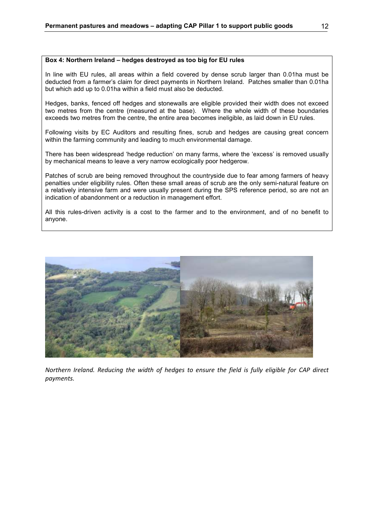#### **Box 4: Northern Ireland – hedges destroyed as too big for EU rules**

In line with EU rules, all areas within a field covered by dense scrub larger than 0.01ha must be deducted from a farmer's claim for direct payments in Northern Ireland. Patches smaller than 0.01ha but which add up to 0.01ha within a field must also be deducted.

Hedges, banks, fenced off hedges and stonewalls are eligible provided their width does not exceed two metres from the centre (measured at the base). Where the whole width of these boundaries exceeds two metres from the centre, the entire area becomes ineligible, as laid down in EU rules.

Following visits by EC Auditors and resulting fines, scrub and hedges are causing great concern within the farming community and leading to much environmental damage.

There has been widespread 'hedge reduction' on many farms, where the 'excess' is removed usually by mechanical means to leave a very narrow ecologically poor hedgerow.

Patches of scrub are being removed throughout the countryside due to fear among farmers of heavy penalties under eligibility rules. Often these small areas of scrub are the only semi-natural feature on a relatively intensive farm and were usually present during the SPS reference period, so are not an indication of abandonment or a reduction in management effort.

All this rules-driven activity is a cost to the farmer and to the environment, and of no benefit to anyone.



*Northern Ireland. Reducing the width of hedges to ensure the field is fully eligible for CAP direct payments.*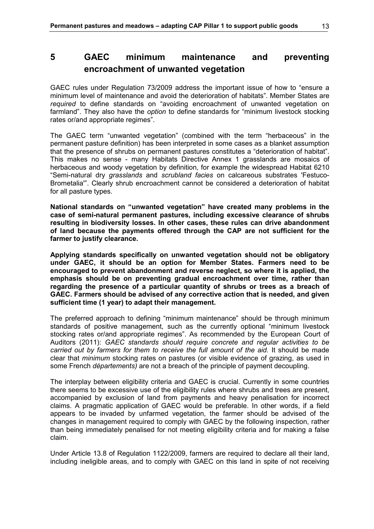# **5 GAEC minimum maintenance and preventing encroachment of unwanted vegetation**

GAEC rules under Regulation 73/2009 address the important issue of how to "ensure a minimum level of maintenance and avoid the deterioration of habitats". Member States are *required* to define standards on "avoiding encroachment of unwanted vegetation on farmland". They also have the *option* to define standards for "minimum livestock stocking rates or/and appropriate regimes".

The GAEC term "unwanted vegetation" (combined with the term "herbaceous" in the permanent pasture definition) has been interpreted in some cases as a blanket assumption that the presence of shrubs on permanent pastures constitutes a "deterioration of habitat". This makes no sense - many Habitats Directive Annex 1 grasslands are mosaics of herbaceous and woody vegetation by definition, for example the widespread Habitat 6210 "Semi-natural dry *grasslands* and *scrubland facies* on calcareous substrates 'Festuco-Brometalia'". Clearly shrub encroachment cannot be considered a deterioration of habitat for all pasture types.

**National standards on "unwanted vegetation" have created many problems in the case of semi-natural permanent pastures, including excessive clearance of shrubs resulting in biodiversity losses. In other cases, these rules can drive abandonment of land because the payments offered through the CAP are not sufficient for the farmer to justify clearance.** 

**Applying standards specifically on unwanted vegetation should not be obligatory under GAEC, it should be an option for Member States. Farmers need to be encouraged to prevent abandonment and reverse neglect, so where it is applied, the emphasis should be on preventing gradual encroachment over time, rather than regarding the presence of a particular quantity of shrubs or trees as a breach of GAEC. Farmers should be advised of any corrective action that is needed, and given sufficient time (1 year) to adapt their management.** 

The preferred approach to defining "minimum maintenance" should be through minimum standards of positive management, such as the currently optional "minimum livestock stocking rates or/and appropriate regimes". As recommended by the European Court of Auditors (2011): *GAEC standards should require concrete and regular activities to be carried out by farmers for them to receive the full amount of the aid.* It should be made clear that *minimum* stocking rates on pastures (or visible evidence of grazing, as used in some French *départements)* are not a breach of the principle of payment decoupling.

The interplay between eligibility criteria and GAEC is crucial. Currently in some countries there seems to be excessive use of the eligibility rules where shrubs and trees are present, accompanied by exclusion of land from payments and heavy penalisation for incorrect claims. A pragmatic application of GAEC would be preferable. In other words, if a field appears to be invaded by unfarmed vegetation, the farmer should be advised of the changes in management required to comply with GAEC by the following inspection, rather than being immediately penalised for not meeting eligibility criteria and for making a false claim.

Under Article 13.8 of Regulation 1122/2009, farmers are required to declare all their land, including ineligible areas, and to comply with GAEC on this land in spite of not receiving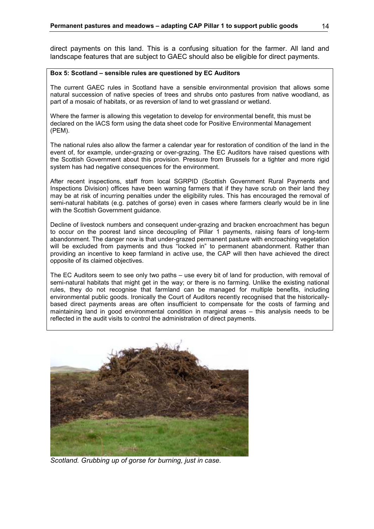direct payments on this land. This is a confusing situation for the farmer. All land and landscape features that are subject to GAEC should also be eligible for direct payments.

#### **Box 5: Scotland – sensible rules are questioned by EC Auditors**

The current GAEC rules in Scotland have a sensible environmental provision that allows some natural succession of native species of trees and shrubs onto pastures from native woodland, as part of a mosaic of habitats, or as reversion of land to wet grassland or wetland.

Where the farmer is allowing this vegetation to develop for environmental benefit, this must be declared on the IACS form using the data sheet code for Positive Environmental Management (PEM).

The national rules also allow the farmer a calendar year for restoration of condition of the land in the event of, for example, under-grazing or over-grazing. The EC Auditors have raised questions with the Scottish Government about this provision. Pressure from Brussels for a tighter and more rigid system has had negative consequences for the environment.

After recent inspections, staff from local SGRPID (Scottish Government Rural Payments and Inspections Division) offices have been warning farmers that if they have scrub on their land they may be at risk of incurring penalties under the eligibility rules. This has encouraged the removal of semi-natural habitats (e.g. patches of gorse) even in cases where farmers clearly would be in line with the Scottish Government guidance.

Decline of livestock numbers and consequent under-grazing and bracken encroachment has begun to occur on the poorest land since decoupling of Pillar 1 payments, raising fears of long-term abandonment. The danger now is that under-grazed permanent pasture with encroaching vegetation will be excluded from payments and thus "locked in" to permanent abandonment. Rather than providing an incentive to keep farmland in active use, the CAP will then have achieved the direct opposite of its claimed objectives.

The EC Auditors seem to see only two paths – use every bit of land for production, with removal of semi-natural habitats that might get in the way; or there is no farming. Unlike the existing national rules, they do not recognise that farmland can be managed for multiple benefits, including environmental public goods. Ironically the Court of Auditors recently recognised that the historicallybased direct payments areas are often insufficient to compensate for the costs of farming and maintaining land in good environmental condition in marginal areas – this analysis needs to be reflected in the audit visits to control the administration of direct payments.



*Scotland. Grubbing up of gorse for burning, just in case.*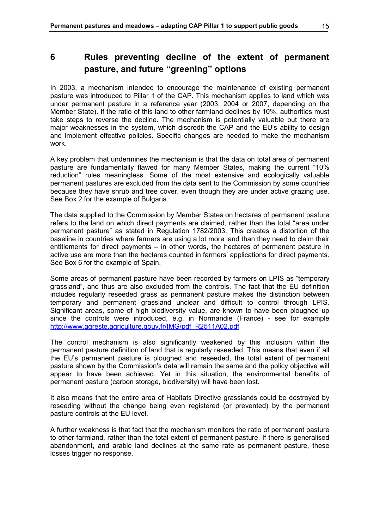In 2003, a mechanism intended to encourage the maintenance of existing permanent pasture was introduced to Pillar 1 of the CAP. This mechanism applies to land which was under permanent pasture in a reference year (2003, 2004 or 2007, depending on the Member State). If the ratio of this land to other farmland declines by 10%, authorities must take steps to reverse the decline. The mechanism is potentially valuable but there are major weaknesses in the system, which discredit the CAP and the EU's ability to design and implement effective policies. Specific changes are needed to make the mechanism work.

A key problem that undermines the mechanism is that the data on total area of permanent pasture are fundamentally flawed for many Member States, making the current "10% reduction" rules meaningless. Some of the most extensive and ecologically valuable permanent pastures are excluded from the data sent to the Commission by some countries because they have shrub and tree cover, even though they are under active grazing use. See Box 2 for the example of Bulgaria.

The data supplied to the Commission by Member States on hectares of permanent pasture refers to the land on which direct payments are claimed, rather than the total "area under permanent pasture" as stated in Regulation 1782/2003. This creates a distortion of the baseline in countries where farmers are using a lot more land than they need to claim their entitlements for direct payments – in other words, the hectares of permanent pasture in active use are more than the hectares counted in farmers' applications for direct payments. See Box 6 for the example of Spain.

Some areas of permanent pasture have been recorded by farmers on LPIS as "temporary grassland", and thus are also excluded from the controls. The fact that the EU definition includes regularly reseeded grass as permanent pasture makes the distinction between temporary and permanent grassland unclear and difficult to control through LPIS. Significant areas, some of high biodiversity value, are known to have been ploughed up since the controls were introduced, e.g. in Normandie (France) - see for example http://www.agreste.agriculture.gouv.fr/IMG/pdf\_R2511A02.pdf

The control mechanism is also significantly weakened by this inclusion within the permanent pasture definition of land that is regularly reseeded. This means that even if all the EU's permanent pasture is ploughed and reseeded, the total extent of permanent pasture shown by the Commission's data will remain the same and the policy objective will appear to have been achieved. Yet in this situation, the environmental benefits of permanent pasture (carbon storage, biodiversity) will have been lost.

It also means that the entire area of Habitats Directive grasslands could be destroyed by reseeding without the change being even registered (or prevented) by the permanent pasture controls at the EU level.

A further weakness is that fact that the mechanism monitors the ratio of permanent pasture to other farmland, rather than the total extent of permanent pasture. If there is generalised abandonment, and arable land declines at the same rate as permanent pasture, these losses trigger no response.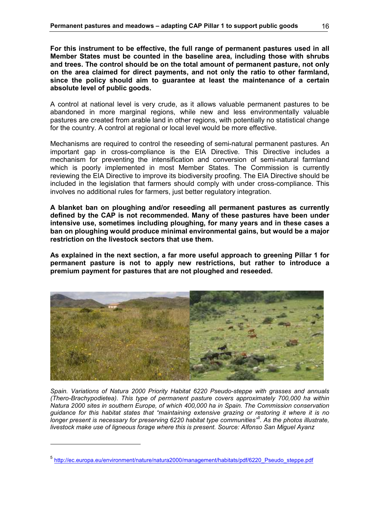**For this instrument to be effective, the full range of permanent pastures used in all Member States must be counted in the baseline area, including those with shrubs and trees. The control should be on the total amount of permanent pasture, not only on the area claimed for direct payments, and not only the ratio to other farmland, since the policy should aim to guarantee at least the maintenance of a certain absolute level of public goods.** 

A control at national level is very crude, as it allows valuable permanent pastures to be abandoned in more marginal regions, while new and less environmentally valuable pastures are created from arable land in other regions, with potentially no statistical change for the country. A control at regional or local level would be more effective.

Mechanisms are required to control the reseeding of semi-natural permanent pastures. An important gap in cross-compliance is the EIA Directive. This Directive includes a mechanism for preventing the intensification and conversion of semi-natural farmland which is poorly implemented in most Member States. The Commission is currently reviewing the EIA Directive to improve its biodiversity proofing. The EIA Directive should be included in the legislation that farmers should comply with under cross-compliance. This involves no additional rules for farmers, just better regulatory integration.

**A blanket ban on ploughing and/or reseeding all permanent pastures as currently defined by the CAP is not recommended. Many of these pastures have been under intensive use, sometimes including ploughing, for many years and in these cases a ban on ploughing would produce minimal environmental gains, but would be a major restriction on the livestock sectors that use them.** 

**As explained in the next section, a far more useful approach to greening Pillar 1 for permanent pasture is not to apply new restrictions, but rather to introduce a premium payment for pastures that are not ploughed and reseeded.** 



*Spain. Variations of Natura 2000 Priority Habitat 6220 Pseudo-steppe with grasses and annuals (Thero-Brachypodietea). This type of permanent pasture covers approximately 700,000 ha within Natura 2000 sites in southern Europe, of which 400,000 ha in Spain. The Commission conservation guidance for this habitat states that "maintaining extensive grazing or restoring it where it is no longer present is necessary for preserving 6220 habitat type communities"<sup>5</sup> . As the photos illustrate, livestock make use of ligneous forage where this is present. Source: Alfonso San Miguel Ayanz* 

 $\overline{a}$ 

<sup>&</sup>lt;sup>5</sup> http://ec.europa.eu/environment/nature/natura2000/management/habitats/pdf/6220\_Pseudo\_steppe.pdf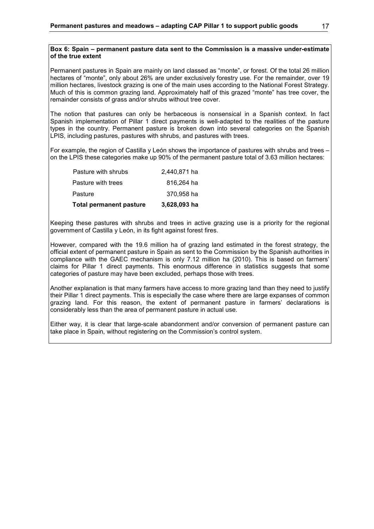#### **Box 6: Spain – permanent pasture data sent to the Commission is a massive under-estimate of the true extent**

Permanent pastures in Spain are mainly on land classed as "monte", or forest. Of the total 26 million hectares of "monte", only about 26% are under exclusively forestry use. For the remainder, over 19 million hectares, livestock grazing is one of the main uses according to the National Forest Strategy. Much of this is common grazing land. Approximately half of this grazed "monte" has tree cover, the remainder consists of grass and/or shrubs without tree cover.

The notion that pastures can only be herbaceous is nonsensical in a Spanish context. In fact Spanish implementation of Pillar 1 direct payments is well-adapted to the realities of the pasture types in the country. Permanent pasture is broken down into several categories on the Spanish LPIS, including pastures, pastures with shrubs, and pastures with trees.

For example, the region of Castilla y León shows the importance of pastures with shrubs and trees on the LPIS these categories make up 90% of the permanent pasture total of 3.63 million hectares:

| <b>Total permanent pasture</b> | 3,628,093 ha |
|--------------------------------|--------------|
| Pasture                        | 370.958 ha   |
| Pasture with trees             | 816,264 ha   |
| Pasture with shrubs            | 2,440,871 ha |

Keeping these pastures with shrubs and trees in active grazing use is a priority for the regional government of Castilla y León, in its fight against forest fires.

However, compared with the 19.6 million ha of grazing land estimated in the forest strategy, the official extent of permanent pasture in Spain as sent to the Commission by the Spanish authorities in compliance with the GAEC mechanism is only 7.12 million ha (2010). This is based on farmers' claims for Pillar 1 direct payments. This enormous difference in statistics suggests that some categories of pasture may have been excluded, perhaps those with trees.

Another explanation is that many farmers have access to more grazing land than they need to justify their Pillar 1 direct payments. This is especially the case where there are large expanses of common grazing land. For this reason, the extent of permanent pasture in farmers' declarations is considerably less than the area of permanent pasture in actual use.

Either way, it is clear that large-scale abandonment and/or conversion of permanent pasture can take place in Spain, without registering on the Commission's control system.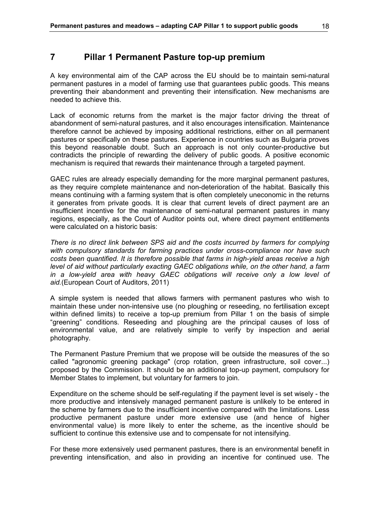# **7 Pillar 1 Permanent Pasture top-up premium**

A key environmental aim of the CAP across the EU should be to maintain semi-natural permanent pastures in a model of farming use that guarantees public goods. This means preventing their abandonment and preventing their intensification. New mechanisms are needed to achieve this.

Lack of economic returns from the market is the major factor driving the threat of abandonment of semi-natural pastures, and it also encourages intensification. Maintenance therefore cannot be achieved by imposing additional restrictions, either on all permanent pastures or specifically on these pastures. Experience in countries such as Bulgaria proves this beyond reasonable doubt. Such an approach is not only counter-productive but contradicts the principle of rewarding the delivery of public goods. A positive economic mechanism is required that rewards their maintenance through a targeted payment.

GAEC rules are already especially demanding for the more marginal permanent pastures, as they require complete maintenance and non-deterioration of the habitat. Basically this means continuing with a farming system that is often completely uneconomic in the returns it generates from private goods. It is clear that current levels of direct payment are an insufficient incentive for the maintenance of semi-natural permanent pastures in many regions, especially, as the Court of Auditor points out, where direct payment entitlements were calculated on a historic basis:

*There is no direct link between SPS aid and the costs incurred by farmers for complying with compulsory standards for farming practices under cross-compliance nor have such costs been quantified. It is therefore possible that farms in high-yield areas receive a high level of aid without particularly exacting GAEC obligations while, on the other hand, a farm*  in a low-yield area with heavy GAEC obligations will receive only a low level of *aid.*(European Court of Auditors, 2011)

A simple system is needed that allows farmers with permanent pastures who wish to maintain these under non-intensive use (no ploughing or reseeding, no fertilisation except within defined limits) to receive a top-up premium from Pillar 1 on the basis of simple "greening" conditions. Reseeding and ploughing are the principal causes of loss of environmental value, and are relatively simple to verify by inspection and aerial photography.

The Permanent Pasture Premium that we propose will be outside the measures of the so called "agronomic greening package" (crop rotation, green infrastructure, soil cover...) proposed by the Commission. It should be an additional top-up payment, compulsory for Member States to implement, but voluntary for farmers to join.

Expenditure on the scheme should be self-regulating if the payment level is set wisely - the more productive and intensively managed permanent pasture is unlikely to be entered in the scheme by farmers due to the insufficient incentive compared with the limitations. Less productive permanent pasture under more extensive use (and hence of higher environmental value) is more likely to enter the scheme, as the incentive should be sufficient to continue this extensive use and to compensate for not intensifying.

For these more extensively used permanent pastures, there is an environmental benefit in preventing intensification, and also in providing an incentive for continued use. The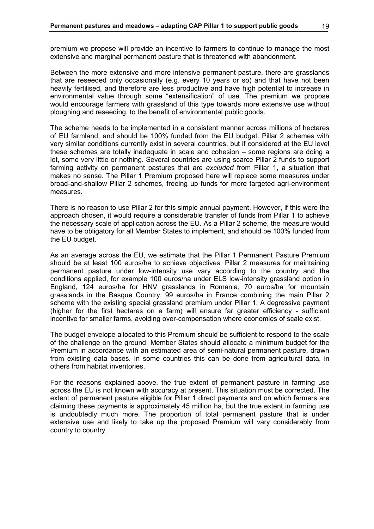premium we propose will provide an incentive to farmers to continue to manage the most extensive and marginal permanent pasture that is threatened with abandonment.

Between the more extensive and more intensive permanent pasture, there are grasslands that are reseeded only occasionally (e.g. every 10 years or so) and that have not been heavily fertilised, and therefore are less productive and have high potential to increase in environmental value through some "extensification" of use. The premium we propose would encourage farmers with grassland of this type towards more extensive use without ploughing and reseeding, to the benefit of environmental public goods.

The scheme needs to be implemented in a consistent manner across millions of hectares of EU farmland, and should be 100% funded from the EU budget. Pillar 2 schemes with very similar conditions currently exist in several countries, but if considered at the EU level these schemes are totally inadequate in scale and cohesion – some regions are doing a lot, some very little or nothing. Several countries are using scarce Pillar 2 funds to support farming activity on permanent pastures that are *excluded* from Pillar 1, a situation that makes no sense. The Pillar 1 Premium proposed here will replace some measures under broad-and-shallow Pillar 2 schemes, freeing up funds for more targeted agri-environment measures.

There is no reason to use Pillar 2 for this simple annual payment. However, if this were the approach chosen, it would require a considerable transfer of funds from Pillar 1 to achieve the necessary scale of application across the EU. As a Pillar 2 scheme, the measure would have to be obligatory for all Member States to implement, and should be 100% funded from the EU budget.

As an average across the EU, we estimate that the Pillar 1 Permanent Pasture Premium should be at least 100 euros/ha to achieve objectives. Pillar 2 measures for maintaining permanent pasture under low-intensity use vary according to the country and the conditions applied, for example 100 euros/ha under ELS low-intensity grassland option in England, 124 euros/ha for HNV grasslands in Romania, 70 euros/ha for mountain grasslands in the Basque Country, 99 euros/ha in France combining the main Pillar 2 scheme with the existing special grassland premium under Pillar 1. A degressive payment (higher for the first hectares on a farm) will ensure far greater efficiency - sufficient incentive for smaller farms, avoiding over-compensation where economies of scale exist.

The budget envelope allocated to this Premium should be sufficient to respond to the scale of the challenge on the ground. Member States should allocate a minimum budget for the Premium in accordance with an estimated area of semi-natural permanent pasture, drawn from existing data bases. In some countries this can be done from agricultural data, in others from habitat inventories.

For the reasons explained above, the true extent of permanent pasture in farming use across the EU is not known with accuracy at present. This situation must be corrected. The extent of permanent pasture eligible for Pillar 1 direct payments and on which farmers are claiming these payments is approximately 45 million ha, but the true extent in farming use is undoubtedly much more. The proportion of total permanent pasture that is under extensive use and likely to take up the proposed Premium will vary considerably from country to country.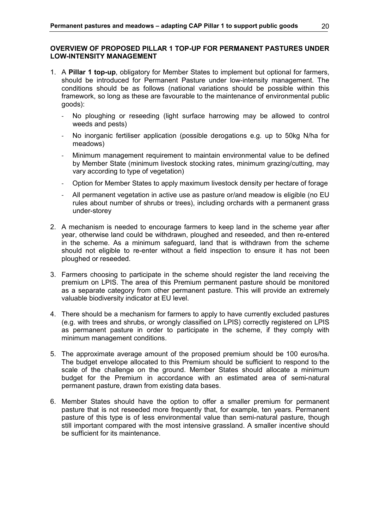### **OVERVIEW OF PROPOSED PILLAR 1 TOP-UP FOR PERMANENT PASTURES UNDER LOW-INTENSITY MANAGEMENT**

- 1. A **Pillar 1 top-up**, obligatory for Member States to implement but optional for farmers, should be introduced for Permanent Pasture under low-intensity management. The conditions should be as follows (national variations should be possible within this framework, so long as these are favourable to the maintenance of environmental public goods):
	- No ploughing or reseeding (light surface harrowing may be allowed to control weeds and pests)
	- No inorganic fertiliser application (possible derogations e.g. up to 50kg N/ha for meadows)
	- Minimum management requirement to maintain environmental value to be defined by Member State (minimum livestock stocking rates, minimum grazing/cutting, may vary according to type of vegetation)
	- Option for Member States to apply maximum livestock density per hectare of forage
	- All permanent vegetation in active use as pasture or/and meadow is eligible (no EU rules about number of shrubs or trees), including orchards with a permanent grass under-storey
- 2. A mechanism is needed to encourage farmers to keep land in the scheme year after year, otherwise land could be withdrawn, ploughed and reseeded, and then re-entered in the scheme. As a minimum safeguard, land that is withdrawn from the scheme should not eligible to re-enter without a field inspection to ensure it has not been ploughed or reseeded.
- 3. Farmers choosing to participate in the scheme should register the land receiving the premium on LPIS. The area of this Premium permanent pasture should be monitored as a separate category from other permanent pasture. This will provide an extremely valuable biodiversity indicator at EU level.
- 4. There should be a mechanism for farmers to apply to have currently excluded pastures (e.g. with trees and shrubs, or wrongly classified on LPIS) correctly registered on LPIS as permanent pasture in order to participate in the scheme, if they comply with minimum management conditions.
- 5. The approximate average amount of the proposed premium should be 100 euros/ha. The budget envelope allocated to this Premium should be sufficient to respond to the scale of the challenge on the ground. Member States should allocate a minimum budget for the Premium in accordance with an estimated area of semi-natural permanent pasture, drawn from existing data bases.
- 6. Member States should have the option to offer a smaller premium for permanent pasture that is not reseeded more frequently that, for example, ten years. Permanent pasture of this type is of less environmental value than semi-natural pasture, though still important compared with the most intensive grassland. A smaller incentive should be sufficient for its maintenance.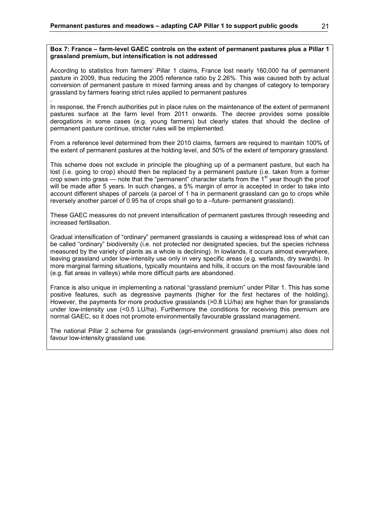#### **Box 7: France – farm-level GAEC controls on the extent of permanent pastures plus a Pillar 1 grassland premium, but intensification is not addressed**

According to statistics from farmers' Pillar 1 claims, France lost nearly 160,000 ha of permanent pasture in 2009, thus reducing the 2005 reference ratio by 2.26%. This was caused both by actual conversion of permanent pasture in mixed farming areas and by changes of category to temporary grassland by farmers fearing strict rules applied to permanent pastures

. In response, the French authorities put in place rules on the maintenance of the extent of permanent pastures surface at the farm level from 2011 onwards. The decree provides some possible derogations in some cases (e.g. young farmers) but clearly states that should the decline of permanent pasture continue, stricter rules will be implemented.

From a reference level determined from their 2010 claims, farmers are required to maintain 100% of the extent of permanent pastures at the holding level, and 50% of the extent of temporary grassland.

This scheme does not exclude in principle the ploughing up of a permanent pasture, but each ha lost (i.e. going to crop) should then be replaced by a permanent pasture (i.e. taken from a former crop sown into grass — note that the "permanent" character starts from the 1<sup>st</sup> year though the proof will be made after 5 years. In such changes, a 5% margin of error is accepted in order to take into account different shapes of parcels (a parcel of 1 ha in permanent grassland can go to crops while reversely another parcel of 0.95 ha of crops shall go to a –future- permanent grassland).

These GAEC measures do not prevent intensification of permanent pastures through reseeding and increased fertilisation.

Gradual intensification of "ordinary" permanent grasslands is causing a widespread loss of what can be called "ordinary" biodiversity (i.e. not protected nor designated species, but the species richness measured by the variety of plants as a whole is declining). In lowlands, it occurs almost everywhere, leaving grassland under low-intensity use only in very specific areas (e.g. wetlands, dry swards). In more marginal farming situations, typically mountains and hills, it occurs on the most favourable land (e.g. flat areas in valleys) while more difficult parts are abandoned.

France is also unique in implementing a national "grassland premium" under Pillar 1. This has some positive features, such as degressive payments (higher for the first hectares of the holding). However, the payments for more productive grasslands (>0.8 LU/ha) are higher than for grasslands under low-intensity use (<0.5 LU/ha). Furthermore the conditions for receiving this premium are normal GAEC, so it does not promote environmentally favourable grassland management.

The national Pillar 2 scheme for grasslands (agri-environment grassland premium) also does not favour low-intensity grassland use.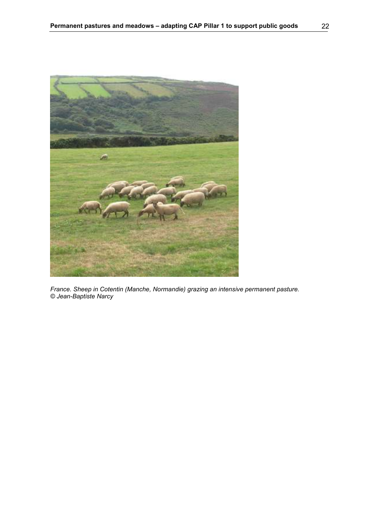

*France. Sheep in Cotentin (Manche, Normandie) grazing an intensive permanent pasture. © Jean-Baptiste Narcy*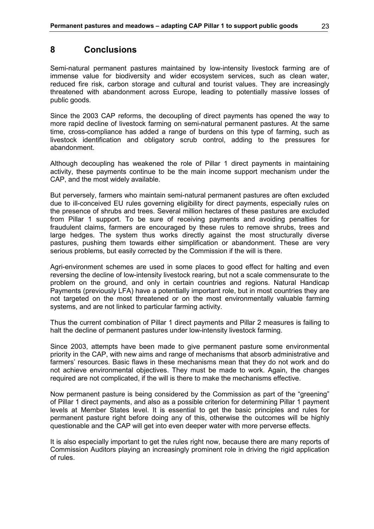# **8 Conclusions**

Semi-natural permanent pastures maintained by low-intensity livestock farming are of immense value for biodiversity and wider ecosystem services, such as clean water, reduced fire risk, carbon storage and cultural and tourist values. They are increasingly threatened with abandonment across Europe, leading to potentially massive losses of public goods.

Since the 2003 CAP reforms, the decoupling of direct payments has opened the way to more rapid decline of livestock farming on semi-natural permanent pastures. At the same time, cross-compliance has added a range of burdens on this type of farming, such as livestock identification and obligatory scrub control, adding to the pressures for abandonment.

Although decoupling has weakened the role of Pillar 1 direct payments in maintaining activity, these payments continue to be the main income support mechanism under the CAP, and the most widely available.

But perversely, farmers who maintain semi-natural permanent pastures are often excluded due to ill-conceived EU rules governing eligibility for direct payments, especially rules on the presence of shrubs and trees. Several million hectares of these pastures are excluded from Pillar 1 support. To be sure of receiving payments and avoiding penalties for fraudulent claims, farmers are encouraged by these rules to remove shrubs, trees and large hedges. The system thus works directly against the most structurally diverse pastures, pushing them towards either simplification or abandonment. These are very serious problems, but easily corrected by the Commission if the will is there.

Agri-environment schemes are used in some places to good effect for halting and even reversing the decline of low-intensity livestock rearing, but not a scale commensurate to the problem on the ground, and only in certain countries and regions. Natural Handicap Payments (previously LFA) have a potentially important role, but in most countries they are not targeted on the most threatened or on the most environmentally valuable farming systems, and are not linked to particular farming activity.

Thus the current combination of Pillar 1 direct payments and Pillar 2 measures is failing to halt the decline of permanent pastures under low-intensity livestock farming.

Since 2003, attempts have been made to give permanent pasture some environmental priority in the CAP, with new aims and range of mechanisms that absorb administrative and farmers' resources. Basic flaws in these mechanisms mean that they do not work and do not achieve environmental objectives. They must be made to work. Again, the changes required are not complicated, if the will is there to make the mechanisms effective.

Now permanent pasture is being considered by the Commission as part of the "greening" of Pillar 1 direct payments, and also as a possible criterion for determining Pillar 1 payment levels at Member States level. It is essential to get the basic principles and rules for permanent pasture right before doing any of this, otherwise the outcomes will be highly questionable and the CAP will get into even deeper water with more perverse effects.

It is also especially important to get the rules right now, because there are many reports of Commission Auditors playing an increasingly prominent role in driving the rigid application of rules.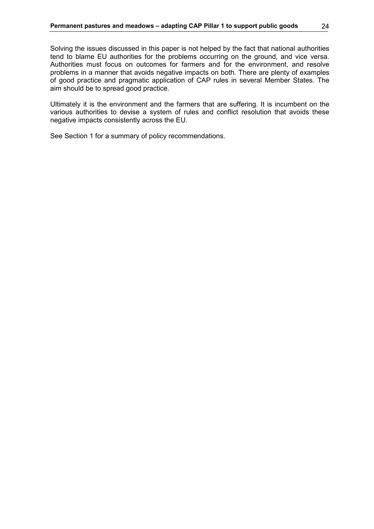Solving the issues discussed in this paper is not helped by the fact that national authorities tend to blame EU authorities for the problems occurring on the ground, and vice versa. Authorities must focus on outcomes for farmers and for the environment, and resolve problems in a manner that avoids negative impacts on both. There are plenty of examples of good practice and pragmatic application of CAP rules in several Member States. The aim should be to spread good practice.

Ultimately it is the environment and the farmers that are suffering. It is incumbent on the various authorities to devise a system of rules and conflict resolution that avoids these negative impacts consistently across the EU.

See Section 1 for a summary of policy recommendations.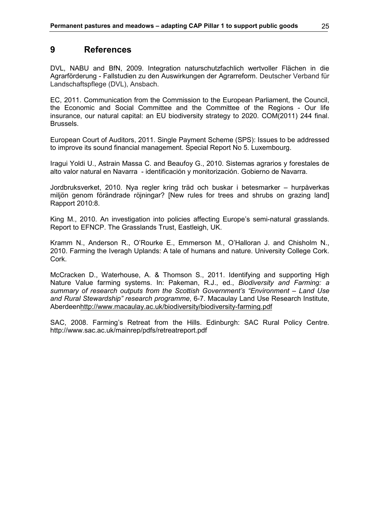# **9 References**

DVL, NABU and BfN, 2009. Integration naturschutzfachlich wertvoller Flächen in die Agrarförderung - Fallstudien zu den Auswirkungen der Agrarreform. Deutscher Verband für Landschaftspflege (DVL), Ansbach.

EC, 2011. Communication from the Commission to the European Parliament, the Council, the Economic and Social Committee and the Committee of the Regions - Our life insurance, our natural capital: an EU biodiversity strategy to 2020. COM(2011) 244 final. Brussels.

European Court of Auditors, 2011. Single Payment Scheme (SPS): Issues to be addressed to improve its sound financial management. Special Report No 5. Luxembourg.

Iragui Yoldi U., Astrain Massa C. and Beaufoy G., 2010. Sistemas agrarios y forestales de alto valor natural en Navarra - identificación y monitorización. Gobierno de Navarra.

Jordbruksverket, 2010. Nya regler kring träd och buskar i betesmarker – hurpåverkas miljön genom förändrade röjningar? [New rules for trees and shrubs on grazing land] Rapport 2010:8.

King M., 2010. An investigation into policies affecting Europe's semi-natural grasslands. Report to EFNCP. The Grasslands Trust, Eastleigh, UK.

Kramm N., Anderson R., O'Rourke E., Emmerson M., O'Halloran J. and Chisholm N., 2010. Farming the Iveragh Uplands: A tale of humans and nature. University College Cork. Cork.

McCracken D., Waterhouse, A. & Thomson S., 2011. Identifying and supporting High Nature Value farming systems. In: Pakeman, R.J., ed., *Biodiversity and Farming: a summary of research outputs from the Scottish Government's "Environment – Land Use and Rural Stewardship" research programme*, 6-7. Macaulay Land Use Research Institute, Aberdeenhttp://www.macaulay.ac.uk/biodiversity/biodiversity-farming.pdf

SAC, 2008. Farming's Retreat from the Hills. Edinburgh: SAC Rural Policy Centre. http://www.sac.ac.uk/mainrep/pdfs/retreatreport.pdf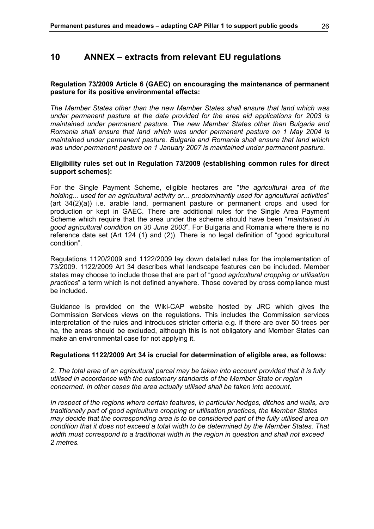# **10 ANNEX – extracts from relevant EU regulations**

### **Regulation 73/2009 Article 6 (GAEC) on encouraging the maintenance of permanent pasture for its positive environmental effects:**

*The Member States other than the new Member States shall ensure that land which was under permanent pasture at the date provided for the area aid applications for 2003 is maintained under permanent pasture. The new Member States other than Bulgaria and Romania shall ensure that land which was under permanent pasture on 1 May 2004 is maintained under permanent pasture. Bulgaria and Romania shall ensure that land which was under permanent pasture on 1 January 2007 is maintained under permanent pasture.*

### **Eligibility rules set out in Regulation 73/2009 (establishing common rules for direct support schemes):**

For the Single Payment Scheme, eligible hectares are "*the agricultural area of the holding... used for an agricultural activity or... predominantly used for agricultural activities*" (art 34(2)(a)) i.e. arable land, permanent pasture or permanent crops and used for production or kept in GAEC. There are additional rules for the Single Area Payment Scheme which require that the area under the scheme should have been "*maintained in good agricultural condition on 30 June 2003*". For Bulgaria and Romania where there is no reference date set (Art 124 (1) and (2)). There is no legal definition of "good agricultural condition".

Regulations 1120/2009 and 1122/2009 lay down detailed rules for the implementation of 73/2009. 1122/2009 Art 34 describes what landscape features can be included. Member states may choose to include those that are part of "*good agricultural cropping or utilisation practices*" a term which is not defined anywhere. Those covered by cross compliance must be included.

Guidance is provided on the Wiki-CAP website hosted by JRC which gives the Commission Services views on the regulations. This includes the Commission services interpretation of the rules and introduces stricter criteria e.g. if there are over 50 trees per ha, the areas should be excluded, although this is not obligatory and Member States can make an environmental case for not applying it.

### **Regulations 1122/2009 Art 34 is crucial for determination of eligible area, as follows:**

2. *The total area of an agricultural parcel may be taken into account provided that it is fully utilised in accordance with the customary standards of the Member State or region concerned. In other cases the area actually utilised shall be taken into account.*

*In respect of the regions where certain features, in particular hedges, ditches and walls, are traditionally part of good agriculture cropping or utilisation practices, the Member States may decide that the corresponding area is to be considered part of the fully utilised area on condition that it does not exceed a total width to be determined by the Member States. That width must correspond to a traditional width in the region in question and shall not exceed 2 metres.*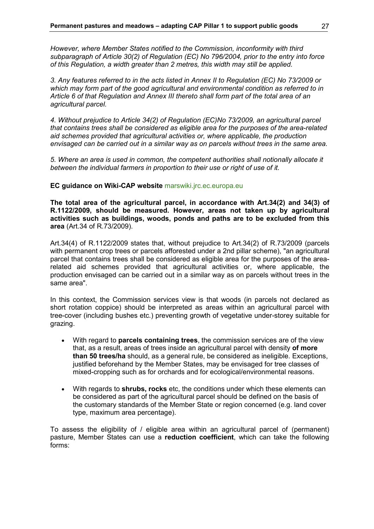*However, where Member States notified to the Commission, inconformity with third subparagraph of Article 30(2) of Regulation (EC) No 796/2004, prior to the entry into force of this Regulation, a width greater than 2 metres, this width may still be applied.* 

*3. Any features referred to in the acts listed in Annex II to Regulation (EC) No 73/2009 or which may form part of the good agricultural and environmental condition as referred to in Article 6 of that Regulation and Annex III thereto shall form part of the total area of an agricultural parcel.* 

*4. Without prejudice to Article 34(2) of Regulation (EC)No 73/2009, an agricultural parcel that contains trees shall be considered as eligible area for the purposes of the area-related aid schemes provided that agricultural activities or, where applicable, the production envisaged can be carried out in a similar way as on parcels without trees in the same area.* 

*5. Where an area is used in common, the competent authorities shall notionally allocate it between the individual farmers in proportion to their use or right of use of it.* 

#### **EC guidance on Wiki-CAP website** marswiki.jrc.ec.europa.eu

**The total area of the agricultural parcel, in accordance with Art.34(2) and 34(3) of R.1122/2009, should be measured. However, areas not taken up by agricultural activities such as buildings, woods, ponds and paths are to be excluded from this area** (Art.34 of R.73/2009).

Art.34(4) of R.1122/2009 states that, without prejudice to Art.34(2) of R.73/2009 (parcels with permanent crop trees or parcels afforested under a 2nd pillar scheme), "an agricultural parcel that contains trees shall be considered as eligible area for the purposes of the arearelated aid schemes provided that agricultural activities or, where applicable, the production envisaged can be carried out in a similar way as on parcels without trees in the same area".

In this context, the Commission services view is that woods (in parcels not declared as short rotation coppice) should be interpreted as areas within an agricultural parcel with tree-cover (including bushes etc.) preventing growth of vegetative under-storey suitable for grazing.

- With regard to **parcels containing trees**, the commission services are of the view that, as a result, areas of trees inside an agricultural parcel with density **of more than 50 trees/ha** should, as a general rule, be considered as ineligible. Exceptions, justified beforehand by the Member States, may be envisaged for tree classes of mixed-cropping such as for orchards and for ecological/environmental reasons.
- With regards to **shrubs, rocks** etc, the conditions under which these elements can be considered as part of the agricultural parcel should be defined on the basis of the customary standards of the Member State or region concerned (e.g. land cover type, maximum area percentage).

To assess the eligibility of / eligible area within an agricultural parcel of (permanent) pasture, Member States can use a **reduction coefficient**, which can take the following forms: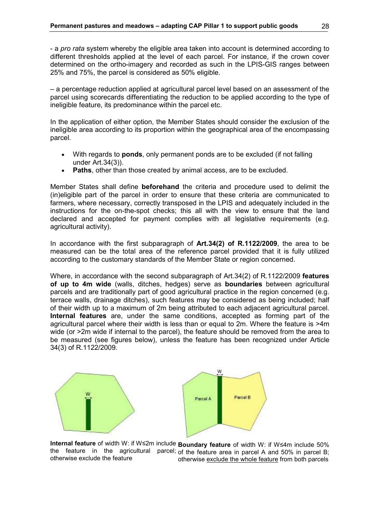- a *pro rata* system whereby the eligible area taken into account is determined according to different thresholds applied at the level of each parcel. For instance, if the crown cover determined on the ortho-imagery and recorded as such in the LPIS-GIS ranges between 25% and 75%, the parcel is considered as 50% eligible.

– a percentage reduction applied at agricultural parcel level based on an assessment of the parcel using scorecards differentiating the reduction to be applied according to the type of ineligible feature, its predominance within the parcel etc.

In the application of either option, the Member States should consider the exclusion of the ineligible area according to its proportion within the geographical area of the encompassing parcel.

- With regards to **ponds**, only permanent ponds are to be excluded (if not falling under Art.34(3)).
- **Paths**, other than those created by animal access, are to be excluded.

Member States shall define **beforehand** the criteria and procedure used to delimit the (in)eligible part of the parcel in order to ensure that these criteria are communicated to farmers, where necessary, correctly transposed in the LPIS and adequately included in the instructions for the on-the-spot checks; this all with the view to ensure that the land declared and accepted for payment complies with all legislative requirements (e.g. agricultural activity).

In accordance with the first subparagraph of **Art.34(2) of R.1122/2009**, the area to be measured can be the total area of the reference parcel provided that it is fully utilized according to the customary standards of the Member State or region concerned.

Where, in accordance with the second subparagraph of Art.34(2) of R.1122/2009 **features of up to 4m wide** (walls, ditches, hedges) serve as **boundaries** between agricultural parcels and are traditionally part of good agricultural practice in the region concerned (e.g. terrace walls, drainage ditches), such features may be considered as being included; half of their width up to a maximum of 2m being attributed to each adjacent agricultural parcel. **Internal features** are, under the same conditions, accepted as forming part of the agricultural parcel where their width is less than or equal to 2m. Where the feature is >4m wide (or >2m wide if internal to the parcel), the feature should be removed from the area to be measured (see figures below), unless the feature has been recognized under Article 34(3) of R.1122/2009.



**Internal feature** of width W: if W≤2m include **Boundary feature** of width W: if W≤4m include 50% the feature in the agricultural parcel; of the feature area in parcel A and 50% in parcel B; otherwise exclude the feature otherwise exclude the whole feature from both parcels